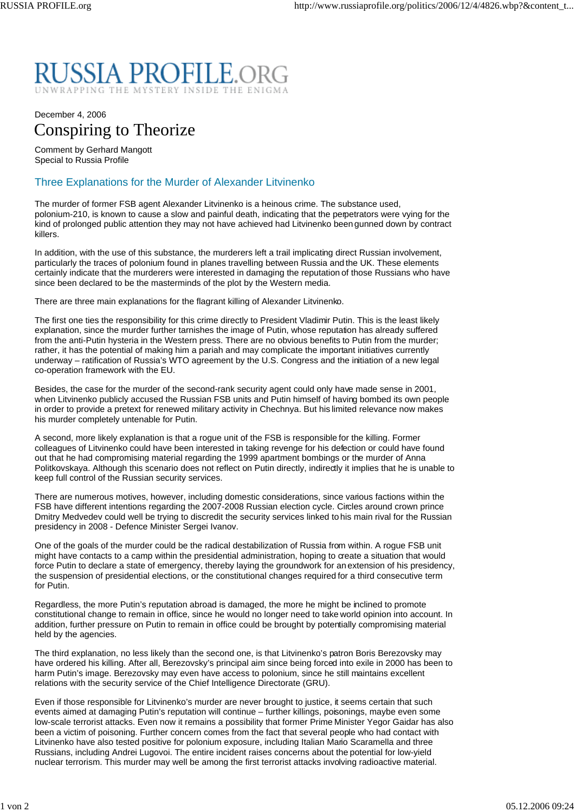## RUSSIA PROFILE.ORG RAPPING THE MYSTERY INSIDE THE ENIGMA

## December 4, 2006 Conspiring to Theorize

Comment by Gerhard Mangott Special to Russia Profile

## Three Explanations for the Murder of Alexander Litvinenko

The murder of former FSB agent Alexander Litvinenko is a heinous crime. The substance used, polonium-210, is known to cause a slow and painful death, indicating that the perpetrators were vying for the kind of prolonged public attention they may not have achieved had Litvinenko been gunned down by contract killers.

In addition, with the use of this substance, the murderers left a trail implicating direct Russian involvement, particularly the traces of polonium found in planes travelling between Russia and the UK. These elements certainly indicate that the murderers were interested in damaging the reputation of those Russians who have since been declared to be the masterminds of the plot by the Western media.

There are three main explanations for the flagrant killing of Alexander Litvinenko.

The first one ties the responsibility for this crime directly to President Vladimir Putin. This is the least likely explanation, since the murder further tarnishes the image of Putin, whose reputation has already suffered from the anti-Putin hysteria in the Western press. There are no obvious benefits to Putin from the murder; rather, it has the potential of making him a pariah and may complicate the important initiatives currently underway – ratification of Russia's WTO agreement by the U.S. Congress and the initiation of a new legal co-operation framework with the EU.

Besides, the case for the murder of the second-rank security agent could only have made sense in 2001, when Litvinenko publicly accused the Russian FSB units and Putin himself of having bombed its own people in order to provide a pretext for renewed military activity in Chechnya. But his limited relevance now makes his murder completely untenable for Putin.

A second, more likely explanation is that a rogue unit of the FSB is responsible for the killing. Former colleagues of Litvinenko could have been interested in taking revenge for his defection or could have found out that he had compromising material regarding the 1999 apartment bombings or the murder of Anna Politkovskaya. Although this scenario does not reflect on Putin directly, indirectly it implies that he is unable to keep full control of the Russian security services.

There are numerous motives, however, including domestic considerations, since various factions within the FSB have different intentions regarding the 2007-2008 Russian election cycle. Circles around crown prince Dmitry Medvedev could well be trying to discredit the security services linked to his main rival for the Russian presidency in 2008 - Defence Minister Sergei Ivanov.

One of the goals of the murder could be the radical destabilization of Russia from within. A rogue FSB unit might have contacts to a camp within the presidential administration, hoping to create a situation that would force Putin to declare a state of emergency, thereby laying the groundwork for an extension of his presidency, the suspension of presidential elections, or the constitutional changes required for a third consecutive term for Putin.

Regardless, the more Putin's reputation abroad is damaged, the more he might be inclined to promote constitutional change to remain in office, since he would no longer need to take world opinion into account. In addition, further pressure on Putin to remain in office could be brought by potentially compromising material held by the agencies.

The third explanation, no less likely than the second one, is that Litvinenko's patron Boris Berezovsky may have ordered his killing. After all, Berezovsky's principal aim since being forced into exile in 2000 has been to harm Putin's image. Berezovsky may even have access to polonium, since he still maintains excellent relations with the security service of the Chief Intelligence Directorate (GRU).

Even if those responsible for Litvinenko's murder are never brought to justice, it seems certain that such events aimed at damaging Putin's reputation will continue – further killings, poisonings, maybe even some low-scale terrorist attacks. Even now it remains a possibility that former Prime Minister Yegor Gaidar has also been a victim of poisoning. Further concern comes from the fact that several people who had contact with Litvinenko have also tested positive for polonium exposure, including Italian Mario Scaramella and three Russians, including Andrei Lugovoi. The entire incident raises concerns about the potential for low-yield nuclear terrorism. This murder may well be among the first terrorist attacks involving radioactive material.